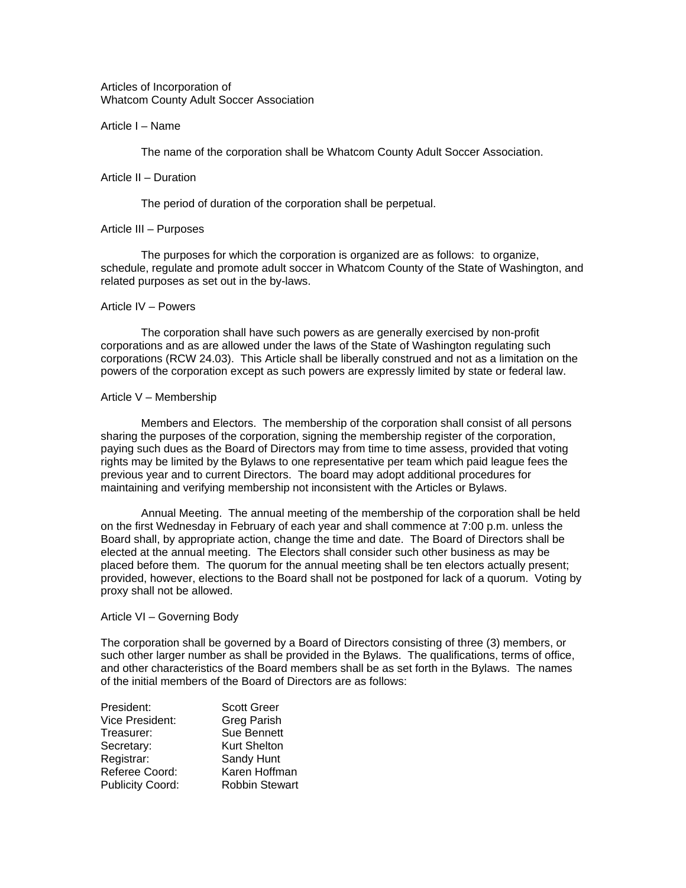Articles of Incorporation of Whatcom County Adult Soccer Association

### Article I – Name

The name of the corporation shall be Whatcom County Adult Soccer Association.

### Article II – Duration

The period of duration of the corporation shall be perpetual.

# Article III – Purposes

 The purposes for which the corporation is organized are as follows: to organize, schedule, regulate and promote adult soccer in Whatcom County of the State of Washington, and related purposes as set out in the by-laws.

### Article IV – Powers

 The corporation shall have such powers as are generally exercised by non-profit corporations and as are allowed under the laws of the State of Washington regulating such corporations (RCW 24.03). This Article shall be liberally construed and not as a limitation on the powers of the corporation except as such powers are expressly limited by state or federal law.

# Article V – Membership

 Members and Electors. The membership of the corporation shall consist of all persons sharing the purposes of the corporation, signing the membership register of the corporation, paying such dues as the Board of Directors may from time to time assess, provided that voting rights may be limited by the Bylaws to one representative per team which paid league fees the previous year and to current Directors. The board may adopt additional procedures for maintaining and verifying membership not inconsistent with the Articles or Bylaws.

 Annual Meeting. The annual meeting of the membership of the corporation shall be held on the first Wednesday in February of each year and shall commence at 7:00 p.m. unless the Board shall, by appropriate action, change the time and date. The Board of Directors shall be elected at the annual meeting. The Electors shall consider such other business as may be placed before them. The quorum for the annual meeting shall be ten electors actually present; provided, however, elections to the Board shall not be postponed for lack of a quorum. Voting by proxy shall not be allowed.

# Article VI – Governing Body

The corporation shall be governed by a Board of Directors consisting of three (3) members, or such other larger number as shall be provided in the Bylaws. The qualifications, terms of office, and other characteristics of the Board members shall be as set forth in the Bylaws. The names of the initial members of the Board of Directors are as follows:

| President:              | <b>Scott Greer</b>    |
|-------------------------|-----------------------|
| Vice President:         | <b>Greg Parish</b>    |
| Treasurer:              | <b>Sue Bennett</b>    |
| Secretary:              | <b>Kurt Shelton</b>   |
| Registrar:              | Sandy Hunt            |
| Referee Coord:          | Karen Hoffman         |
| <b>Publicity Coord:</b> | <b>Robbin Stewart</b> |